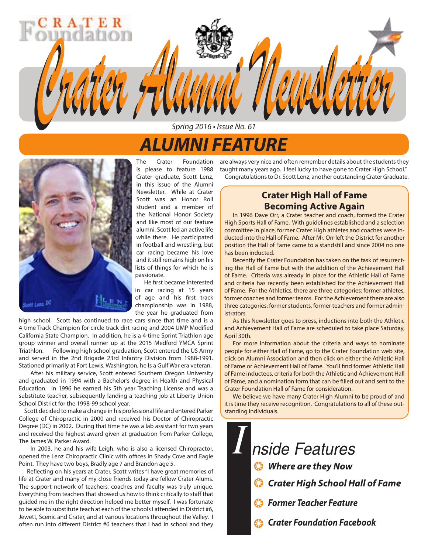# *ALUMNI FEATURE*

Spring 2016 • Issue No. 61

*Crater Alumni Newsletter Crater Alumni Newsletter*



The Crater Foundation is please to feature 1988 Crater graduate, Scott Lenz, in this issue of the Alumni Newsletter. While at Crater Scott was an Honor Roll student and a member of the National Honor Society and like most of our feature alumni, Scott led an active life while there. He participated in football and wrestling, but car racing became his love and it still remains high on his lists of things for which he is passionate.

 He first became interested in car racing at 15 years of age and his first track championship was in 1988, the year he graduated from

high school. Scott has continued to race cars since that time and is a 4-time Track Champion for circle track dirt racing and 2004 UMP Modified California State Champion. In addition, he is a 4-time Sprint Triathlon age group winner and overall runner up at the 2015 Medford YMCA Sprint Triathlon. Following high school graduation, Scott entered the US Army and served in the 2nd Brigade 23rd Infantry Division from 1988-1991. Stationed primarily at Fort Lewis, Washington, he Is a Gulf War era veteran.

 After his military service, Scott entered Southern Oregon University and graduated in 1994 with a Bachelor's degree in Health and Physical Education. In 1996 he earned his 5th year Teaching License and was a substitute teacher, subsequently landing a teaching job at Liberty Union School District for the 1998-99 school year.

 Scott decided to make a change in his professional life and entered Parker College of Chiropractic in 2000 and received his Doctor of Chiropractic Degree (DC) in 2002. During that time he was a lab assistant for two years and received the highest award given at graduation from Parker College, The James W. Parker Award.

 In 2003, he and his wife Leigh, who is also a licensed Chiropractor, opened the Lenz Chiropractic Clinic with offices in Shady Cove and Eagle Point. They have two boys, Bradly age 7 and Brandon age 5.

 Reflecting on his years at Crater, Scott writes "I have great memories of life at Crater and many of my close friends today are fellow Crater Alums. The support network of teachers, coaches and faculty was truly unique. Everything from teachers that showed us how to think critically to staff that guided me in the right direction helped me better myself. I was fortunate to be able to substitute teach at each of the schools I attended in District #6, Jewett, Scenic and Crater, and at various locations throughout the Valley. I often run into different District #6 teachers that I had in school and they

are always very nice and often remember details about the students they taught many years ago. I feel lucky to have gone to Crater High School." Congratulations to Dr. Scott Lenz, another outstanding Crater Graduate.

### **Crater High Hall of Fame Becoming Active Again**

In 1996 Dave Orr, a Crater teacher and coach, formed the Crater High Sports Hall of Fame. With guidelines established and a selection committee in place, former Crater High athletes and coaches were inducted into the Hall of Fame. After Mr. Orr left the District for another position the Hall of Fame came to a standstill and since 2004 no one has been inducted.

Recently the Crater Foundation has taken on the task of resurrecting the Hall of Fame but with the addition of the Achievement Hall of Fame. Criteria was already in place for the Athletic Hall of Fame and criteria has recently been established for the Achievement Hall of Fame. For the Athletics, there are three categories: former athletes, former coaches and former teams. For the Achievement there are also three categories: former students, former teachers and former administrators.

As this Newsletter goes to press, inductions into both the Athletic and Achievement Hall of Fame are scheduled to take place Saturday, April 30th.

For more information about the criteria and ways to nominate people for either Hall of Fame, go to the Crater Foundation web site, click on Alumni Association and then click on either the Athletic Hall of Fame or Achievement Hall of Fame. You'll find former Athletic Hall of Fame inductees, criteria for both the Athletic and Achievement Hall of Fame, and a nomination form that can be filled out and sent to the Crater Foundation Hall of Fame for consideration.

We believe we have many Crater High Alumni to be proud of and it is time they receive recognition. Congratulations to all of these outstanding individuals.

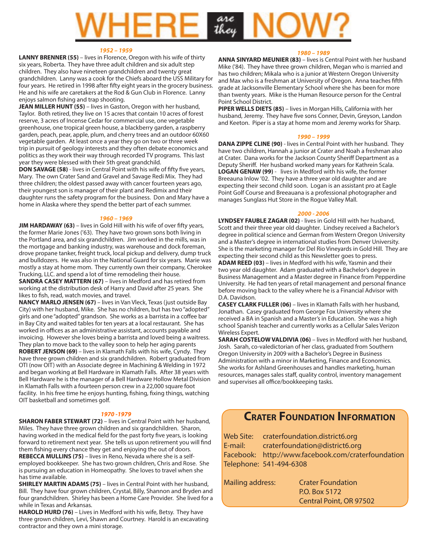# are<br>they

#### *1952 – 1959*

**LANNY BRENNER (55)** – lives in Florence, Oregon with his wife of thirty six years, Roberta. They have three adult children and six adult step children. They also have nineteen grandchildren and twenty great grandchildren. Lanny was a cook for the Chiefs aboard the USS Military for four years. He retired in 1998 after fifty eight years in the grocery business. He and his wife are caretakers at the Rod & Gun Club in Florence. Lanny enjoys salmon fishing and trap shooting.

**JEAN MILLER HUNT (55)** – lives in Gaston, Oregon with her husband, Taylor. Both retired, they live on 15 acres that contain 10 acres of forest reserve, 3 acres of Incense Cedar for commercial use, one vegetable greenhouse, one tropical green house, a blackberry garden, a raspberry garden, peach, pear, apple, plum, and cherry trees and an outdoor 60X60 vegetable garden. At least once a year they go on two or three week trip in pursuit of geology interests and they often debate economics and politics as they work their way through recorded TV programs. This last year they were blessed with their 5th great grandchild.

**DON SAVAGE (58)** - lives in Central Point with his wife of fifty five years, Mary. The own Crater Sand and Gravel and Savage Redi Mix. They had three children; the oldest passed away with cancer fourteen years ago, their youngest son is manager of their plant and Redimix and their daughter runs the safety program for the business. Don and Mary have a home in Alaska where they spend the better part of each summer.

#### *1960 – 1969*

**JIM HARDAWAY (63)** – lives in Gold Hill with his wife of over fifty years, the former Marie Jones ('63). They have two grown sons both living in the Portland area, and six grandchildren. Jim worked in the mills, was in the mortgage and banking industry, was warehouse and dock foreman, drove propane tanker, freight truck, local pickup and delivery, dump truck and bulldozers. He was also in the National Guard for six years. Marie was mostly a stay at home mom. They currently own their company, Cherokee Trucking, LLC. and spend a lot of time remodeling their house.

**SANDRA CASEY MATTERN (67)** – lives in Medford and has retired from working at the distribution desk of Harry and David after 25 years. She likes to fish, read, watch movies, and travel.

**NANCY MARLO JENSEN (67)** – lives in Van Vleck, Texas (just outside Bay City) with her husband, Mike. She has no children, but has two "adopted" girls and one "adopted" grandson. She works as a barrista in a coffee bar in Bay City and waited tables for ten years at a local restaurant. She has worked in offices as an administrative assistant, accounts payable and invoicing. However she loves being a barrista and loved being a waitress. They plan to move back to the valley soon to help her aging parents **ROBERT JENSON (69)** – lives in Klamath Falls with his wife, Cyndy. They

have three grown children and six grandchildren. Robert graduated from OTI (now OIT) with an Associate degree in Machining & Welding in 1972 and began working at Bell Hardware in Klamath Falls. After 38 years with Bell Hardware he is the manager of a Bell Hardware Hollow Metal Division in Klamath Falls with a fourteen person crew in a 22,000 square foot facility. In his free time he enjoys hunting, fishing, fixing things, watching OIT basketball and sometimes golf.

#### *1970 -1979*

**SHARON FABER STEWART (72)** – lives in Central Point with her husband, Miles. They have three grown children and six grandchildren. Sharon, having worked in the medical field for the past forty five years, is looking forward to retirement next year. She tells us upon retirement you will find them fishing every chance they get and enjoying the out of doors. **REBECCA MULLINS (75)** – lives in Reno, Nevada where she is a selfemployed bookkeeper. She has two grown children, Chris and Rose. She is pursuing an education in Homeopathy. She loves to travel when she has time available.

**SHIRLEY MARTIN ADAMS (75)** – lives in Central Point with her husband, Bill. They have four grown children, Crystal, Billy, Shannon and Bryden and four grandchildren. Shirley has been a Home Care Provider. She lived for a while in Texas and Arkansas.

**HAROLD HURD (76)** – Lives in Medford with his wife, Betsy. They have three grown children, Levi, Shawn and Courtney. Harold is an excavating contractor and they own a mini storage.

#### *1980 – 1989*

**ANNA SINYARD MEUNIER (83)** – lives is Central Point with her husband Mike ('84). They have three grown children, Megan who is married and has two children; Mikala who is a junior at Western Oregon University and Max who is a freshman at University of Oregon. Anna teaches fifth grade at Jacksonville Elementary School where she has been for more than twenty years. Mike is the Human Resource person for the Central Point School District.

**PIPER WELLS DIETS (85)** – lives in Morgan Hills, California with her husband, Jeremy. They have five sons Conner, Devin, Greyson, Landon and Keeton. Piper is a stay at home mom and Jeremy works for Sharp.

#### *1990 – 1999*

**DANA ZIPPE CLINE (90)** - lives in Central Point with her husband. They have two children, Hannah a junior at Crater and Noah a freshman also at Crater. Dana works for the Jackson County Sheriff Department as a Deputy Sheriff. Her husband worked many years for Kathrein Scala. **LOGAN GENAW (99)** - lives in Medford with his wife, the former Breeauna Inlow '02. They have a three year old daughter and are expecting their second child soon. Logan is an assistant pro at Eagle Point Golf Course and Breeauana is a professional photographer and manages Sunglass Hut Store in the Rogue Valley Mall.

#### *2000 - 2006*

**LYNDSEY FAUBLE ZAGAR (02)** - lives in Gold Hill with her husband, Scott and their three year old daughter. Lindsey received a Bachelor's degree in political science and German from Western Oregon University and a Master's degree in international studies from Denver University. She is the marketing manager for Del Rio Vineyards in Gold Hill. They are expecting their second child as this Newsletter goes to press.

**ADAM REED (03)** – lives in Medford with his wife, Yasmin and their two year old daughter. Adam graduated with a Bachelor's degree in Business Management and a Master degree in Finance from Pepperdine University. He had ten years of retail management and personal finance before moving back to the valley where he is a Financial Advisor with D.A. Davidson.

**CASEY CLARK FULLER (06)** – lives in Klamath Falls with her husband, Jonathan. Casey graduated from George Fox University where she received a BA in Spanish and a Master's in Education. She was a high school Spanish teacher and currently works as a Cellular Sales Verizon Wireless Expert.

**SARAH COSTELOW VALDIVIA (06)** – lives in Medford with her husband, Josh. Sarah, co-valedictorian of her class, graduated from Southern Oregon University in 2009 with a Bachelor's Degree in Business Administration with a minor in Marketing, Finance and Economics. She works for Ashland Greenhouses and handles marketing, human resources, manages sales staff, quality control, inventory management and supervises all office/bookkeeping tasks.

### **CRATER FOUNDATION INFORMATION**

Web Site: craterfoundation.district6.org E-mail: craterfoundation@district6.org Facebook: http://www.facebook.com/craterfoundation Telephone: 541-494-6308

| Mailing address: | <b>Crater Foundation</b> |
|------------------|--------------------------|
|                  | P.O. Box 5172            |
|                  | Central Point, OR 97502  |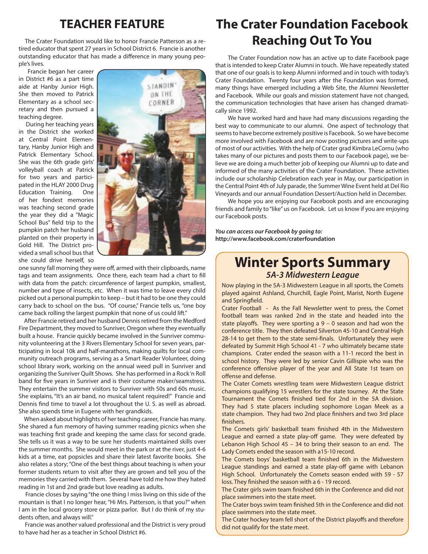### **TEACHER FEATURE**

 The Crater Foundation would like to honor Francie Patterson as a retired educator that spent 27 years in School District 6. Francie is another outstanding educator that has made a difference in many young people's lives.

 Francie began her career in District #6 as a part time aide at Hanby Junior High. She then moved to Patrick Elementary as a school secretary and then pursued a teaching degree.

 During her teaching years in the District she worked at Central Point Elementary, Hanby Junior High and Patrick Elementary School. She was the 6th grade girls' volleyball coach at Patrick for two years and participated in the HLAY 2000 Drug Education Training. One of her fondest memories was teaching second grade the year they did a "Magic School Bus" field trip to the pumpkin patch her husband planted on their property in Gold Hill. The District provided a small school bus that she could drive herself, so



one sunny fall morning they were off, armed with their clipboards, name tags and team assignments. Once there, each team had a chart to fill with data from the patch: circumference of largest pumpkin, smallest, number and type of insects, etc. When it was time to leave every child picked out a personal pumpkin to keep – but it had to be one they could carry back to school on the bus. "Of course," Francie tells us, "one boy came back rolling the largest pumpkin that none of us could lift."

 After Francie retired and her husband Dennis retired from the Medford Fire Department, they moved to Sunriver, Oregon where they eventually built a house. Francie quickly became involved in the Sunriver community volunteering at the 3 Rivers Elementary School for seven years, participating in local 10k and half-marathons, making quilts for local community outreach programs, serving as a Smart Reader Volunteer, doing school library work, working on the annual weed pull in Sunriver and organizing the Sunriver Quilt Shows. She has performed in a Rock 'n Roll band for five years in Sunriver and is their costume maker/seamstress. They entertain the summer visitors to Sunriver with 50s and 60s music. She explains, "It's an air band, no musical talent required!" Francie and Dennis find time to travel a lot throughout the U. S. as well as abroad. She also spends time in Eugene with her grandkids.

 When asked about highlights of her teaching career, Francie has many. She shared a fun memory of having summer reading picnics when she was teaching first grade and keeping the same class for second grade. She tells us it was a way to be sure her students maintained skills over the summer months. She would meet in the park or at the river, just 4-6 kids at a time, eat popsicles and share their latest favorite books. She also relates a story; "One of the best things about teaching is when your former students return to visit after they are grown and tell you of the memories they carried with them. Several have told me how they hated reading in 1st and 2nd grade but love reading as adults.

 Francie closes by saying "the one thing I miss living on this side of the mountain is that I no longer hear, "Hi Mrs. Patterson, is that you?" when I am in the local grocery store or pizza parlor. But I do think of my students often, and always will."

 Francie was another valued professional and the District is very proud to have had her as a teacher in School District #6.

### **The Crater Foundation Facebook Reaching Out To You**

The Crater Foundation now has an active up to date Facebook page that is intended to keep Crater Alumni in touch. We have repeatedly stated that one of our goals is to keep Alumni informed and in touch with today's Crater Foundation. Twenty four years after the Foundation was formed, many things have emerged including a Web Site, the Alumni Newsletter and Facebook. While our goals and mission statement have not changed, the communication technologies that have arisen has changed dramatically since 1992.

We have worked hard and have had many discussions regarding the best way to communicate to our alumni. One aspect of technology that seems to have become extremely positive is Facebook. So we have become more involved with Facebook and are now posting pictures and write-ups of most of our activities. With the help of Crater grad Kimbra LeCornu (who takes many of our pictures and posts them to our Facebook page), we believe we are doing a much better job of keeping our Alumni up to date and informed of the many activities of the Crater Foundation. These activities include our scholarship Celebration each year in May, our participation in the Central Point 4th of July parade, the Summer Wine Event held at Del Rio Vineyards and our annual Foundation Dessert/Auction held in December.

We hope you are enjoying our Facebook posts and are encouraging friends and family to "like" us on Facebook. Let us know if you are enjoying our Facebook posts.

*You can access our Facebook by going to:*  **http://www.facebook.com/craterfoundation**

### **Winter Sports Summary**  *5A-3 Midwestern League*

Now playing in the 5A-3 Midwestern League in all sports, the Comets played against Ashland, Churchill, Eagle Point, Marist, North Eugene and Springfield.

Crater Football - As the Fall Newsletter went to press, the Comet football team was ranked 2nd in the state and headed into the state playoffs. They were sporting a 9 – 0 season and had won the conference title. They then defeated Silverton 45-10 and Central High 28-14 to get them to the state semi-finals. Unfortunately they were defeated by Summit High School 41 - 7 who ultimately became state champions. Crater ended the season with a 11-1 record the best in school history. They were led by senior Cavin Gillispie who was the conference offensive player of the year and All State 1st team on offense and defense.

The Crater Comets wrestling team were Midwestern League district champions qualifying 15 wrestlers for the state tourney. At the State Tournament the Comets finished tied for 2nd in the 5A division. They had 5 state placers including sophomore Logan Meek as a state champion. They had two 2nd place finishers and two 3rd place finishers.

The Comets girls' basketball team finished 4th in the Midwestern League and earned a state play-off game. They were defeated by Lebanon High School 45 – 34 to bring their season to an end. The Lady Comets ended the season with a15-10 record.

The Comets boys' basketball team finished 6th in the Midwestern League standings and earned a state play-off game with Lebanon High School. Unfortunately the Comets season ended with 59 - 57 loss. They finished the season with a 6 - 19 record.

The Crater girls swim team finished 6th in the Conference and did not place swimmers into the state meet.

The Crater boys swim team finished 5th in the Conference and did not place swimmers into the state meet.

The Crater hockey team fell short of the District playoffs and therefore did not qualify for the state meet.